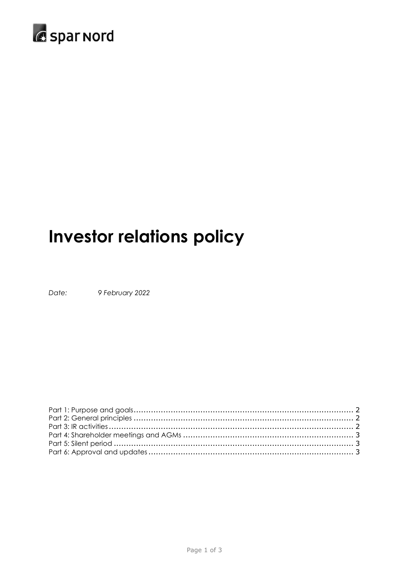

# **Investor relations policy**

Date: 9 February 2022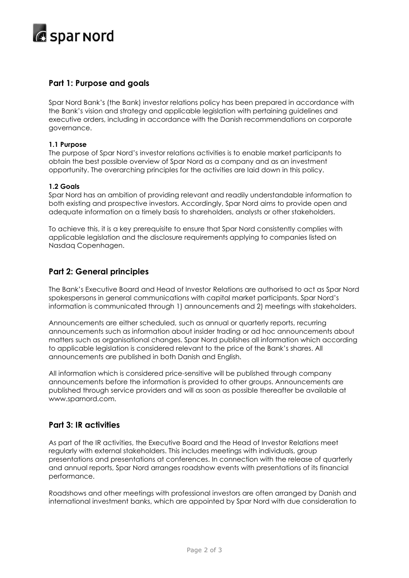

# <span id="page-1-0"></span>**Part 1: Purpose and goals**

Spar Nord Bank's (the Bank) investor relations policy has been prepared in accordance with the Bank's vision and strategy and applicable legislation with pertaining guidelines and executive orders, including in accordance with the Danish recommendations on corporate governance.

#### **1.1 Purpose**

The purpose of Spar Nord's investor relations activities is to enable market participants to obtain the best possible overview of Spar Nord as a company and as an investment opportunity. The overarching principles for the activities are laid down in this policy.

#### **1.2 Goals**

Spar Nord has an ambition of providing relevant and readily understandable information to both existing and prospective investors. Accordingly, Spar Nord aims to provide open and adequate information on a timely basis to shareholders, analysts or other stakeholders.

To achieve this, it is a key prerequisite to ensure that Spar Nord consistently complies with applicable legislation and the disclosure requirements applying to companies listed on Nasdaq Copenhagen.

## <span id="page-1-1"></span>**Part 2: General principles**

The Bank's Executive Board and Head of Investor Relations are authorised to act as Spar Nord spokespersons in general communications with capital market participants. Spar Nord's information is communicated through 1) announcements and 2) meetings with stakeholders.

Announcements are either scheduled, such as annual or quarterly reports, recurring announcements such as information about insider trading or ad hoc announcements about matters such as organisational changes. Spar Nord publishes all information which according to applicable legislation is considered relevant to the price of the Bank's shares. All announcements are published in both Danish and English.

All information which is considered price-sensitive will be published through company announcements before the information is provided to other groups. Announcements are published through service providers and will as soon as possible thereafter be available at www.sparnord.com.

## <span id="page-1-2"></span>**Part 3: IR activities**

As part of the IR activities, the Executive Board and the Head of Investor Relations meet regularly with external stakeholders. This includes meetings with individuals, group presentations and presentations at conferences. In connection with the release of quarterly and annual reports, Spar Nord arranges roadshow events with presentations of its financial performance.

Roadshows and other meetings with professional investors are often arranged by Danish and international investment banks, which are appointed by Spar Nord with due consideration to